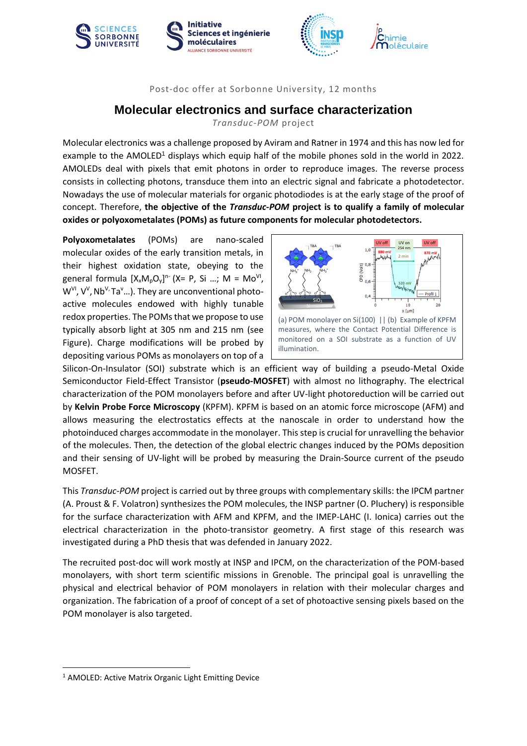







## Post-doc offer at Sorbonne University, 12 months

## **Molecular electronics and surface characterization**

*Transduc-POM* project

Molecular electronics was a challenge proposed by Aviram and Ratner in 1974 and this has now led for example to the AMOLED<sup>1</sup> displays which equip half of the mobile phones sold in the world in 2022. AMOLEDs deal with pixels that emit photons in order to reproduce images. The reverse process consists in collecting photons, transduce them into an electric signal and fabricate a photodetector. Nowadays the use of molecular materials for organic photodiodes is at the early stage of the proof of concept. Therefore, **the objective of the** *Transduc-POM* **project is to qualify a family of molecular oxides or polyoxometalates (POMs) as future components for molecular photodetectors.** 

**Polyoxometalates** (POMs) are nano-scaled molecular oxides of the early transition metals, in their highest oxidation state, obeying to the general formula  $[X_xM_pO_y]^n$  (X= P, Si ...; M = Mo<sup>VI</sup>, W<sup>VI</sup>, V<sup>V</sup>, Nb<sup>V,</sup> Ta<sup>v</sup>...). They are unconventional photoactive molecules endowed with highly tunable redox properties. The POMs that we propose to use typically absorb light at 305 nm and 215 nm (see Figure). Charge modifications will be probed by depositing various POMs as monolayers on top of a



Silicon-On-Insulator (SOI) substrate which is an efficient way of building a pseudo-Metal Oxide Semiconductor Field-Effect Transistor (**pseudo-MOSFET**) with almost no lithography. The electrical characterization of the POM monolayers before and after UV-light photoreduction will be carried out by **Kelvin Probe Force Microscopy** (KPFM). KPFM is based on an atomic force microscope (AFM) and allows measuring the electrostatics effects at the nanoscale in order to understand how the photoinduced charges accommodate in the monolayer. This step is crucial for unravelling the behavior of the molecules. Then, the detection of the global electric changes induced by the POMs deposition and their sensing of UV-light will be probed by measuring the Drain-Source current of the pseudo MOSFET.

This *Transduc-POM* project is carried out by three groups with complementary skills: the IPCM partner (A. Proust & F. Volatron) synthesizes the POM molecules, the INSP partner (O. Pluchery) is responsible for the surface characterization with AFM and KPFM, and the IMEP-LAHC (I. Ionica) carries out the electrical characterization in the photo-transistor geometry. A first stage of this research was investigated during a PhD thesis that was defended in January 2022.

The recruited post-doc will work mostly at INSP and IPCM, on the characterization of the POM-based monolayers, with short term scientific missions in Grenoble. The principal goal is unravelling the physical and electrical behavior of POM monolayers in relation with their molecular charges and organization. The fabrication of a proof of concept of a set of photoactive sensing pixels based on the POM monolayer is also targeted.

**.** 

<sup>&</sup>lt;sup>1</sup> AMOLED: Active Matrix Organic Light Emitting Device